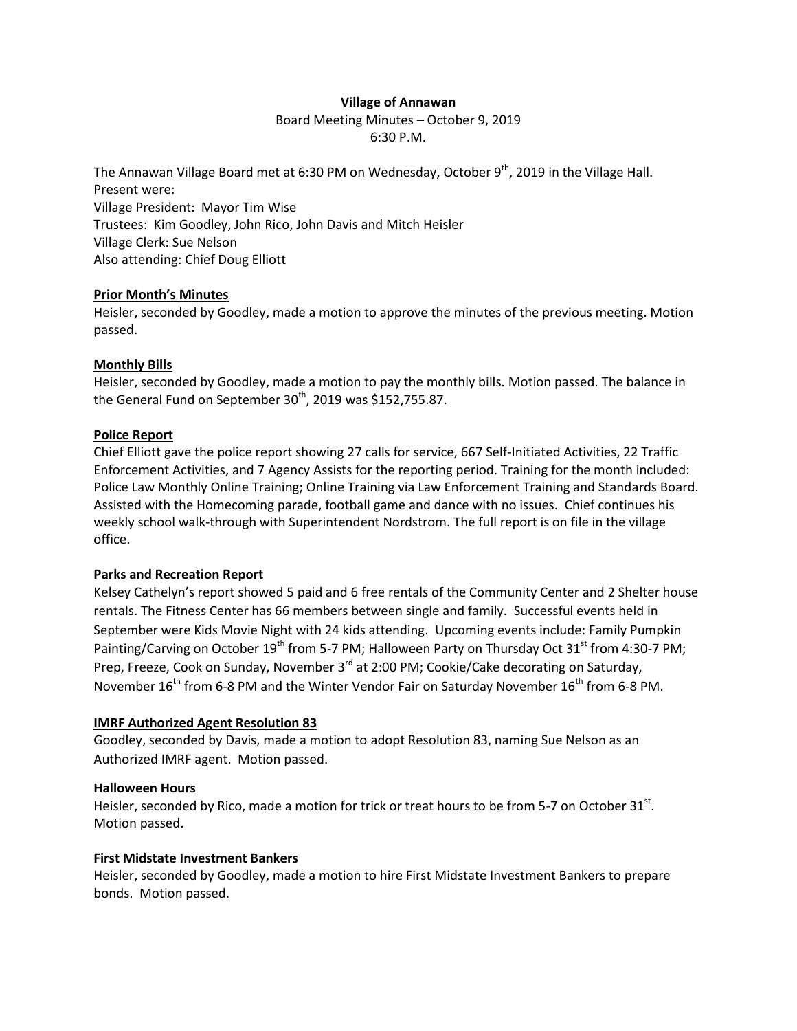# **Village of Annawan**

Board Meeting Minutes – October 9, 2019 6:30 P.M.

The Annawan Village Board met at 6:30 PM on Wednesday, October 9<sup>th</sup>, 2019 in the Village Hall. Present were: Village President: Mayor Tim Wise Trustees: Kim Goodley, John Rico, John Davis and Mitch Heisler Village Clerk: Sue Nelson Also attending: Chief Doug Elliott

#### **Prior Month's Minutes**

Heisler, seconded by Goodley, made a motion to approve the minutes of the previous meeting. Motion passed.

# **Monthly Bills**

Heisler, seconded by Goodley, made a motion to pay the monthly bills. Motion passed. The balance in the General Fund on September  $30<sup>th</sup>$ , 2019 was \$152,755.87.

#### **Police Report**

Chief Elliott gave the police report showing 27 calls for service, 667 Self-Initiated Activities, 22 Traffic Enforcement Activities, and 7 Agency Assists for the reporting period. Training for the month included: Police Law Monthly Online Training; Online Training via Law Enforcement Training and Standards Board. Assisted with the Homecoming parade, football game and dance with no issues. Chief continues his weekly school walk-through with Superintendent Nordstrom. The full report is on file in the village office.

# **Parks and Recreation Report**

Kelsey Cathelyn's report showed 5 paid and 6 free rentals of the Community Center and 2 Shelter house rentals. The Fitness Center has 66 members between single and family. Successful events held in September were Kids Movie Night with 24 kids attending. Upcoming events include: Family Pumpkin Painting/Carving on October 19<sup>th</sup> from 5-7 PM; Halloween Party on Thursday Oct 31<sup>st</sup> from 4:30-7 PM; Prep, Freeze, Cook on Sunday, November 3<sup>rd</sup> at 2:00 PM; Cookie/Cake decorating on Saturday, November  $16<sup>th</sup>$  from 6-8 PM and the Winter Vendor Fair on Saturday November  $16<sup>th</sup>$  from 6-8 PM.

#### **IMRF Authorized Agent Resolution 83**

Goodley, seconded by Davis, made a motion to adopt Resolution 83, naming Sue Nelson as an Authorized IMRF agent. Motion passed.

# **Halloween Hours**

Heisler, seconded by Rico, made a motion for trick or treat hours to be from 5-7 on October 31st. Motion passed.

#### **First Midstate Investment Bankers**

Heisler, seconded by Goodley, made a motion to hire First Midstate Investment Bankers to prepare bonds. Motion passed.